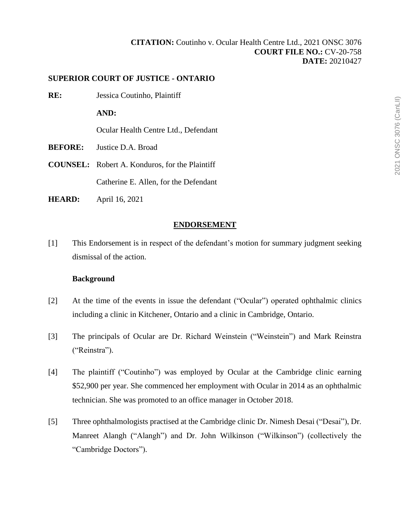# **SUPERIOR COURT OF JUSTICE - ONTARIO**

**RE:** Jessica Coutinho, Plaintiff

**AND:**

Ocular Health Centre Ltd., Defendant

- **BEFORE:** Justice D.A. Broad
- **COUNSEL:** Robert A. Konduros, for the Plaintiff Catherine E. Allen, for the Defendant
- **HEARD:** April 16, 2021

# **ENDORSEMENT**

[1] This Endorsement is in respect of the defendant's motion for summary judgment seeking dismissal of the action.

# **Background**

- [2] At the time of the events in issue the defendant ("Ocular") operated ophthalmic clinics including a clinic in Kitchener, Ontario and a clinic in Cambridge, Ontario.
- [3] The principals of Ocular are Dr. Richard Weinstein ("Weinstein") and Mark Reinstra ("Reinstra").
- [4] The plaintiff ("Coutinho") was employed by Ocular at the Cambridge clinic earning \$52,900 per year. She commenced her employment with Ocular in 2014 as an ophthalmic technician. She was promoted to an office manager in October 2018.
- [5] Three ophthalmologists practised at the Cambridge clinic Dr. Nimesh Desai ("Desai"), Dr. Manreet Alangh ("Alangh") and Dr. John Wilkinson ("Wilkinson") (collectively the "Cambridge Doctors").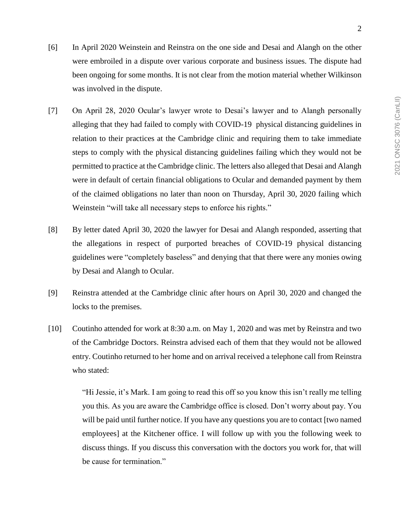- [6] In April 2020 Weinstein and Reinstra on the one side and Desai and Alangh on the other were embroiled in a dispute over various corporate and business issues. The dispute had been ongoing for some months. It is not clear from the motion material whether Wilkinson was involved in the dispute.
- [7] On April 28, 2020 Ocular's lawyer wrote to Desai's lawyer and to Alangh personally alleging that they had failed to comply with COVID-19 physical distancing guidelines in relation to their practices at the Cambridge clinic and requiring them to take immediate steps to comply with the physical distancing guidelines failing which they would not be permitted to practice at the Cambridge clinic. The letters also alleged that Desai and Alangh were in default of certain financial obligations to Ocular and demanded payment by them of the claimed obligations no later than noon on Thursday, April 30, 2020 failing which Weinstein "will take all necessary steps to enforce his rights."
- [8] By letter dated April 30, 2020 the lawyer for Desai and Alangh responded, asserting that the allegations in respect of purported breaches of COVID-19 physical distancing guidelines were "completely baseless" and denying that that there were any monies owing by Desai and Alangh to Ocular.
- [9] Reinstra attended at the Cambridge clinic after hours on April 30, 2020 and changed the locks to the premises.
- [10] Coutinho attended for work at 8:30 a.m. on May 1, 2020 and was met by Reinstra and two of the Cambridge Doctors. Reinstra advised each of them that they would not be allowed entry. Coutinho returned to her home and on arrival received a telephone call from Reinstra who stated:

"Hi Jessie, it's Mark. I am going to read this off so you know this isn't really me telling you this. As you are aware the Cambridge office is closed. Don't worry about pay. You will be paid until further notice. If you have any questions you are to contact [two named employees] at the Kitchener office. I will follow up with you the following week to discuss things. If you discuss this conversation with the doctors you work for, that will be cause for termination."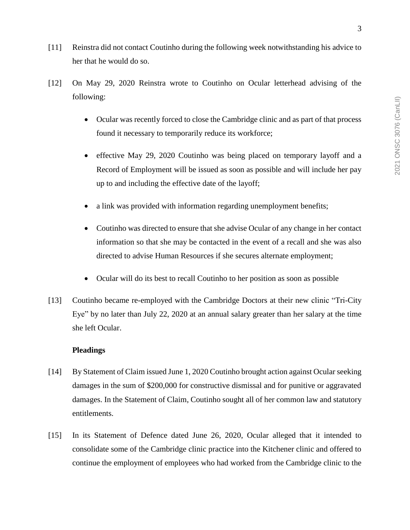- [11] Reinstra did not contact Coutinho during the following week notwithstanding his advice to her that he would do so.
- [12] On May 29, 2020 Reinstra wrote to Coutinho on Ocular letterhead advising of the following:
	- Ocular was recently forced to close the Cambridge clinic and as part of that process found it necessary to temporarily reduce its workforce;
	- effective May 29, 2020 Coutinho was being placed on temporary layoff and a Record of Employment will be issued as soon as possible and will include her pay up to and including the effective date of the layoff;
	- a link was provided with information regarding unemployment benefits;
	- Coutinho was directed to ensure that she advise Ocular of any change in her contact information so that she may be contacted in the event of a recall and she was also directed to advise Human Resources if she secures alternate employment;
	- Ocular will do its best to recall Coutinho to her position as soon as possible
- [13] Coutinho became re-employed with the Cambridge Doctors at their new clinic "Tri-City Eye" by no later than July 22, 2020 at an annual salary greater than her salary at the time she left Ocular.

## **Pleadings**

- [14] By Statement of Claim issued June 1, 2020 Coutinho brought action against Ocular seeking damages in the sum of \$200,000 for constructive dismissal and for punitive or aggravated damages. In the Statement of Claim, Coutinho sought all of her common law and statutory entitlements.
- [15] In its Statement of Defence dated June 26, 2020, Ocular alleged that it intended to consolidate some of the Cambridge clinic practice into the Kitchener clinic and offered to continue the employment of employees who had worked from the Cambridge clinic to the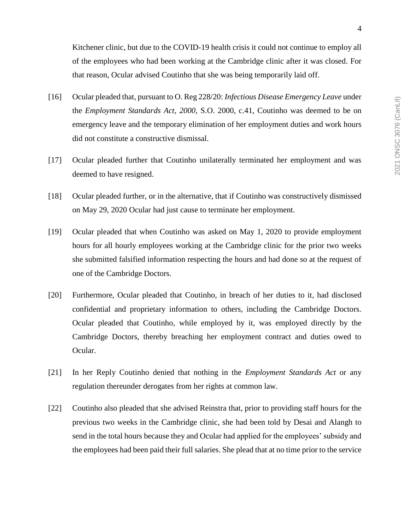- [16] Ocular pleaded that, pursuant to O. Reg 228/20: *Infectious Disease Emergency Leave* under the *Employment Standards Act, 2000,* S.O. 2000, c.41, Coutinho was deemed to be on emergency leave and the temporary elimination of her employment duties and work hours did not constitute a constructive dismissal.
- [17] Ocular pleaded further that Coutinho unilaterally terminated her employment and was deemed to have resigned.
- [18] Ocular pleaded further, or in the alternative, that if Coutinho was constructively dismissed on May 29, 2020 Ocular had just cause to terminate her employment.
- [19] Ocular pleaded that when Coutinho was asked on May 1, 2020 to provide employment hours for all hourly employees working at the Cambridge clinic for the prior two weeks she submitted falsified information respecting the hours and had done so at the request of one of the Cambridge Doctors.
- [20] Furthermore, Ocular pleaded that Coutinho, in breach of her duties to it, had disclosed confidential and proprietary information to others, including the Cambridge Doctors. Ocular pleaded that Coutinho, while employed by it, was employed directly by the Cambridge Doctors, thereby breaching her employment contract and duties owed to Ocular.
- [21] In her Reply Coutinho denied that nothing in the *Employment Standards Act* or any regulation thereunder derogates from her rights at common law.
- [22] Coutinho also pleaded that she advised Reinstra that, prior to providing staff hours for the previous two weeks in the Cambridge clinic, she had been told by Desai and Alangh to send in the total hours because they and Ocular had applied for the employees' subsidy and the employees had been paid their full salaries. She plead that at no time prior to the service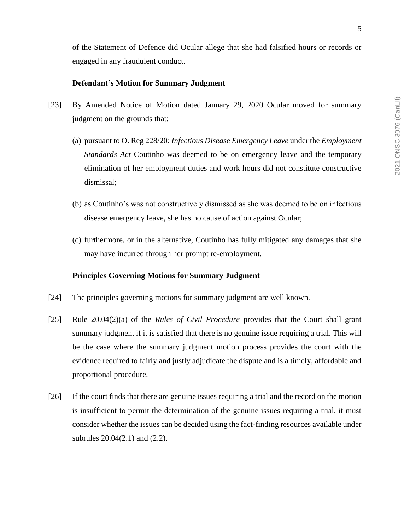of the Statement of Defence did Ocular allege that she had falsified hours or records or engaged in any fraudulent conduct.

# **Defendant's Motion for Summary Judgment**

- [23] By Amended Notice of Motion dated January 29, 2020 Ocular moved for summary judgment on the grounds that:
	- (a) pursuant to O. Reg 228/20: *Infectious Disease Emergency Leave* under the *Employment Standards Act* Coutinho was deemed to be on emergency leave and the temporary elimination of her employment duties and work hours did not constitute constructive dismissal;
	- (b) as Coutinho's was not constructively dismissed as she was deemed to be on infectious disease emergency leave, she has no cause of action against Ocular;
	- (c) furthermore, or in the alternative, Coutinho has fully mitigated any damages that she may have incurred through her prompt re-employment.

# **Principles Governing Motions for Summary Judgment**

- [24] The principles governing motions for summary judgment are well known.
- [25] Rule 20.04(2)(a) of the *Rules of Civil Procedure* provides that the Court shall grant summary judgment if it is satisfied that there is no genuine issue requiring a trial. This will be the case where the summary judgment motion process provides the court with the evidence required to fairly and justly adjudicate the dispute and is a timely, affordable and proportional procedure.
- [26] If the court finds that there are genuine issues requiring a trial and the record on the motion is insufficient to permit the determination of the genuine issues requiring a trial, it must consider whether the issues can be decided using the fact-finding resources available under subrules 20.04(2.1) and (2.2).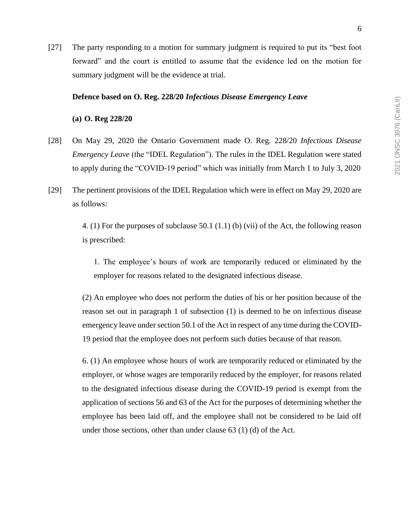[27] The party responding to a motion for summary judgment is required to put its "best foot forward" and the court is entitled to assume that the evidence led on the motion for summary judgment will be the evidence at trial.

#### **Defence based on O. Reg. 228/20** *Infectious Disease Emergency Leave*

**(a) O. Reg 228/20** 

- [28] On May 29, 2020 the Ontario Government made O. Reg. 228/20 *Infectious Disease Emergency Leave* (the "IDEL Regulation"). The rules in the IDEL Regulation were stated to apply during the "COVID-19 period" which was initially from March 1 to July 3, 2020
- [29] The pertinent provisions of the IDEL Regulation which were in effect on May 29, 2020 are as follows:

4. (1) For the purposes of subclause 50.1 (1.1) (b) (vii) of the Act, the following reason is prescribed:

1. The employee's hours of work are temporarily reduced or eliminated by the employer for reasons related to the designated infectious disease.

(2) An employee who does not perform the duties of his or her position because of the reason set out in paragraph 1 of subsection (1) is deemed to be on infectious disease emergency leave under section 50.1 of the Act in respect of any time during the COVID-19 period that the employee does not perform such duties because of that reason.

6. (1) An employee whose hours of work are temporarily reduced or eliminated by the employer, or whose wages are temporarily reduced by the employer, for reasons related to the designated infectious disease during the COVID-19 period is exempt from the application of sections 56 and 63 of the Act for the purposes of determining whether the employee has been laid off, and the employee shall not be considered to be laid off under those sections, other than under clause 63 (1) (d) of the Act.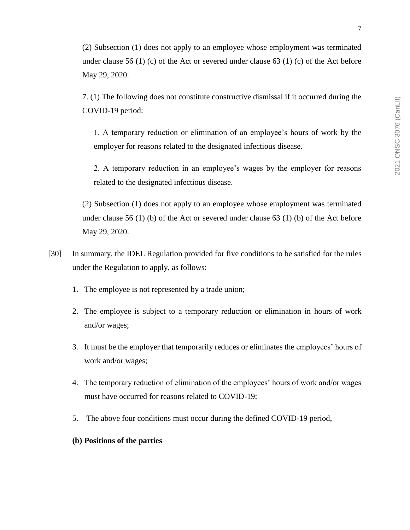(2) Subsection (1) does not apply to an employee whose employment was terminated under clause 56 (1) (c) of the Act or severed under clause 63 (1) (c) of the Act before May 29, 2020.

7. (1) The following does not constitute constructive dismissal if it occurred during the COVID-19 period:

1. A temporary reduction or elimination of an employee's hours of work by the employer for reasons related to the designated infectious disease.

2. A temporary reduction in an employee's wages by the employer for reasons related to the designated infectious disease.

(2) Subsection (1) does not apply to an employee whose employment was terminated under clause 56 (1) (b) of the Act or severed under clause 63 (1) (b) of the Act before May 29, 2020.

- [30] In summary, the IDEL Regulation provided for five conditions to be satisfied for the rules under the Regulation to apply, as follows:
	- 1. The employee is not represented by a trade union;
	- 2. The employee is subject to a temporary reduction or elimination in hours of work and/or wages;
	- 3. It must be the employer that temporarily reduces or eliminates the employees' hours of work and/or wages;
	- 4. The temporary reduction of elimination of the employees' hours of work and/or wages must have occurred for reasons related to COVID-19;
	- 5. The above four conditions must occur during the defined COVID-19 period,
	- **(b) Positions of the parties**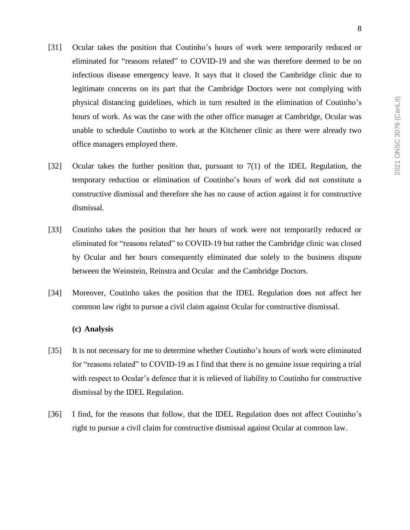- [31] Ocular takes the position that Coutinho's hours of work were temporarily reduced or eliminated for "reasons related" to COVID-19 and she was therefore deemed to be on infectious disease emergency leave. It says that it closed the Cambridge clinic due to legitimate concerns on its part that the Cambridge Doctors were not complying with physical distancing guidelines, which in turn resulted in the elimination of Coutinho's hours of work. As was the case with the other office manager at Cambridge, Ocular was unable to schedule Coutinho to work at the Kitchener clinic as there were already two office managers employed there.
- [32] Ocular takes the further position that, pursuant to 7(1) of the IDEL Regulation, the temporary reduction or elimination of Coutinho's hours of work did not constitute a constructive dismissal and therefore she has no cause of action against it for constructive dismissal.
- [33] Coutinho takes the position that her hours of work were not temporarily reduced or eliminated for "reasons related" to COVID-19 but rather the Cambridge clinic was closed by Ocular and her hours consequently eliminated due solely to the business dispute between the Weinstein, Reinstra and Ocular and the Cambridge Doctors.
- [34] Moreover, Coutinho takes the position that the IDEL Regulation does not affect her common law right to pursue a civil claim against Ocular for constructive dismissal.

## **(c) Analysis**

- [35] It is not necessary for me to determine whether Coutinho's hours of work were eliminated for "reasons related" to COVID-19 as I find that there is no genuine issue requiring a trial with respect to Ocular's defence that it is relieved of liability to Coutinho for constructive dismissal by the IDEL Regulation.
- [36] I find, for the reasons that follow, that the IDEL Regulation does not affect Coutinho's right to pursue a civil claim for constructive dismissal against Ocular at common law.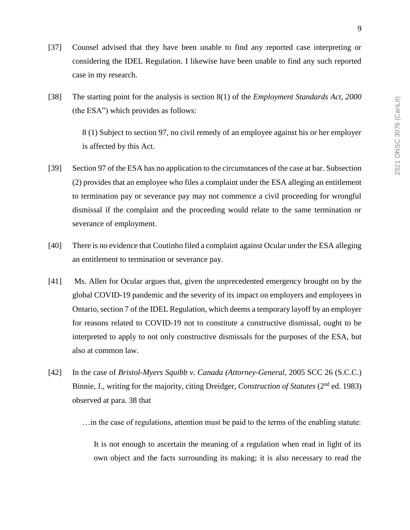- [37] Counsel advised that they have been unable to find any reported case interpreting or considering the IDEL Regulation. I likewise have been unable to find any such reported case in my research.
- [38] The starting point for the analysis is section 8(1) of the *Employment Standards Act, 2000* (the ESA") which provides as follows:

8 (1) Subject to section 97, no civil remedy of an employee against his or her employer is affected by this Act.

- [39] Section 97 of the ESA has no application to the circumstances of the case at bar. Subsection (2) provides that an employee who files a complaint under the ESA alleging an entitlement to termination pay or severance pay may not commence a civil proceeding for wrongful dismissal if the complaint and the proceeding would relate to the same termination or severance of employment.
- [40] There is no evidence that Coutinho filed a complaint against Ocular under the ESA alleging an entitlement to termination or severance pay.
- [41] Ms. Allen for Ocular argues that, given the unprecedented emergency brought on by the global COVID-19 pandemic and the severity of its impact on employers and employees in Ontario, section 7 of the IDEL Regulation, which deems a temporary layoff by an employer for reasons related to COVID-19 not to constitute a constructive dismissal, ought to be interpreted to apply to not only constructive dismissals for the purposes of the ESA, but also at common law.
- [42] In the case of *Bristol-Myers Squibb v. Canada (Attorney-General*, 2005 SCC 26 (S.C.C.) Binnie, J., writing for the majority, citing Dreidger, *Construction of Statutes* (2nd ed. 1983) observed at para. 38 that

…in the case of regulations, attention must be paid to the terms of the enabling statute:

It is not enough to ascertain the meaning of a regulation when read in light of its own object and the facts surrounding its making; it is also necessary to read the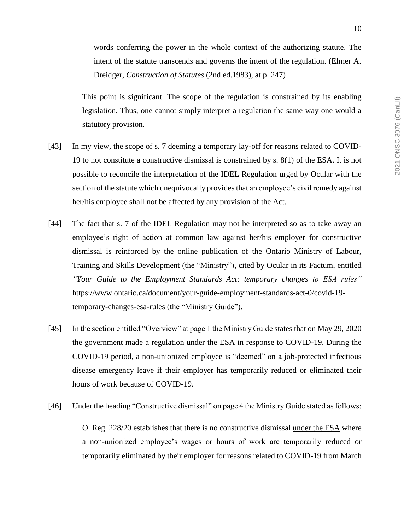intent of the statute transcends and governs the intent of the regulation. (Elmer A. Dreidger, *Construction of Statutes* (2nd ed.1983), at p. 247)

This point is significant. The scope of the regulation is constrained by its enabling legislation. Thus, one cannot simply interpret a regulation the same way one would a statutory provision.

- [43] In my view, the scope of s. 7 deeming a temporary lay-off for reasons related to COVID-19 to not constitute a constructive dismissal is constrained by s. 8(1) of the ESA. It is not possible to reconcile the interpretation of the IDEL Regulation urged by Ocular with the section of the statute which unequivocally provides that an employee's civil remedy against her/his employee shall not be affected by any provision of the Act.
- [44] The fact that s. 7 of the IDEL Regulation may not be interpreted so as to take away an employee's right of action at common law against her/his employer for constructive dismissal is reinforced by the online publication of the Ontario Ministry of Labour, Training and Skills Development (the "Ministry"), cited by Ocular in its Factum, entitled *"Your Guide to the Employment Standards Act: temporary changes to ESA rules"* https://www.ontario.ca/document/your-guide-employment-standards-act-0/covid-19 temporary-changes-esa-rules (the "Ministry Guide").
- [45] In the section entitled "Overview" at page 1 the Ministry Guide states that on May 29, 2020 the government made a regulation under the ESA in response to COVID-19. During the COVID-19 period, a non-unionized employee is "deemed" on a job-protected infectious disease emergency leave if their employer has temporarily reduced or eliminated their hours of work because of COVID-19.
- [46] Under the heading "Constructive dismissal" on page 4 the Ministry Guide stated as follows: O. Reg. 228/20 establishes that there is no constructive dismissal under the ESA where a non-unionized employee's wages or hours of work are temporarily reduced or temporarily eliminated by their employer for reasons related to COVID-19 from March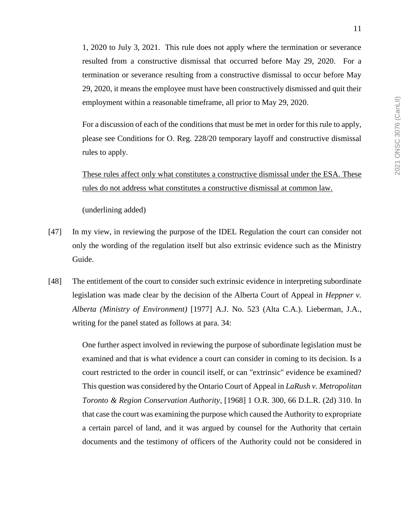1, 2020 to July 3, 2021. This rule does not apply where the termination or severance resulted from a constructive dismissal that occurred before May 29, 2020. For a termination or severance resulting from a constructive dismissal to occur before May 29, 2020, it means the employee must have been constructively dismissed and quit their employment within a reasonable timeframe, all prior to May 29, 2020.

For a discussion of each of the conditions that must be met in order for this rule to apply, please see Conditions for O. Reg. 228/20 temporary layoff and constructive dismissal rules to apply.

These rules affect only what constitutes a constructive dismissal under the ESA. These rules do not address what constitutes a constructive dismissal at common law.

(underlining added)

- [47] In my view, in reviewing the purpose of the IDEL Regulation the court can consider not only the wording of the regulation itself but also extrinsic evidence such as the Ministry Guide.
- [48] The entitlement of the court to consider such extrinsic evidence in interpreting subordinate legislation was made clear by the decision of the Alberta Court of Appeal in *Heppner v. Alberta (Ministry of Environment)* [1977] A.J. No. 523 (Alta C.A.). Lieberman, J.A., writing for the panel stated as follows at para. 34:

One further aspect involved in reviewing the purpose of subordinate legislation must be examined and that is what evidence a court can consider in coming to its decision. Is a court restricted to the order in council itself, or can "extrinsic" evidence be examined? This question was considered by the Ontario Court of Appeal in *LaRush v. Metropolitan Toronto & Region Conservation Authority*, [1968] 1 O.R. 300, 66 D.L.R. (2d) 310. In that case the court was examining the purpose which caused the Authority to expropriate a certain parcel of land, and it was argued by counsel for the Authority that certain documents and the testimony of officers of the Authority could not be considered in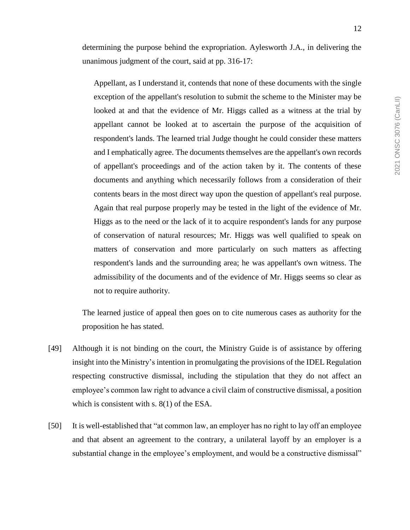determining the purpose behind the expropriation. Aylesworth J.A., in delivering the unanimous judgment of the court, said at pp. 316-17:

Appellant, as I understand it, contends that none of these documents with the single exception of the appellant's resolution to submit the scheme to the Minister may be looked at and that the evidence of Mr. Higgs called as a witness at the trial by appellant cannot be looked at to ascertain the purpose of the acquisition of respondent's lands. The learned trial Judge thought he could consider these matters and I emphatically agree. The documents themselves are the appellant's own records of appellant's proceedings and of the action taken by it. The contents of these documents and anything which necessarily follows from a consideration of their contents bears in the most direct way upon the question of appellant's real purpose. Again that real purpose properly may be tested in the light of the evidence of Mr. Higgs as to the need or the lack of it to acquire respondent's lands for any purpose of conservation of natural resources; Mr. Higgs was well qualified to speak on matters of conservation and more particularly on such matters as affecting respondent's lands and the surrounding area; he was appellant's own witness. The admissibility of the documents and of the evidence of Mr. Higgs seems so clear as not to require authority.

The learned justice of appeal then goes on to cite numerous cases as authority for the proposition he has stated.

- [49] Although it is not binding on the court, the Ministry Guide is of assistance by offering insight into the Ministry's intention in promulgating the provisions of the IDEL Regulation respecting constructive dismissal, including the stipulation that they do not affect an employee's common law right to advance a civil claim of constructive dismissal, a position which is consistent with s. 8(1) of the ESA.
- [50] It is well-established that "at common law, an employer has no right to lay off an employee and that absent an agreement to the contrary, a unilateral layoff by an employer is a substantial change in the employee's employment, and would be a constructive dismissal"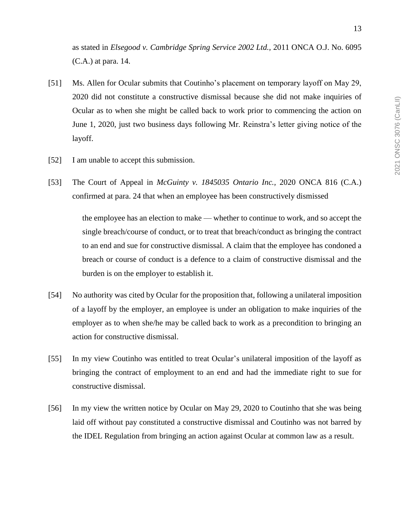as stated in *Elsegood v. Cambridge Spring Service 2002 Ltd.,* 2011 ONCA O.J. No. 6095 (C.A.) at para. 14.

- [51] Ms. Allen for Ocular submits that Coutinho's placement on temporary layoff on May 29, 2020 did not constitute a constructive dismissal because she did not make inquiries of Ocular as to when she might be called back to work prior to commencing the action on June 1, 2020, just two business days following Mr. Reinstra's letter giving notice of the layoff.
- [52] I am unable to accept this submission.
- [53] The Court of Appeal in *McGuinty v. 1845035 Ontario Inc.,* 2020 ONCA 816 (C.A.) confirmed at para. 24 that when an employee has been constructively dismissed

the employee has an election to make — whether to continue to work, and so accept the single breach/course of conduct, or to treat that breach/conduct as bringing the contract to an end and sue for constructive dismissal. A claim that the employee has condoned a breach or course of conduct is a defence to a claim of constructive dismissal and the burden is on the employer to establish it.

- [54] No authority was cited by Ocular for the proposition that, following a unilateral imposition of a layoff by the employer, an employee is under an obligation to make inquiries of the employer as to when she/he may be called back to work as a precondition to bringing an action for constructive dismissal.
- [55] In my view Coutinho was entitled to treat Ocular's unilateral imposition of the layoff as bringing the contract of employment to an end and had the immediate right to sue for constructive dismissal.
- [56] In my view the written notice by Ocular on May 29, 2020 to Coutinho that she was being laid off without pay constituted a constructive dismissal and Coutinho was not barred by the IDEL Regulation from bringing an action against Ocular at common law as a result.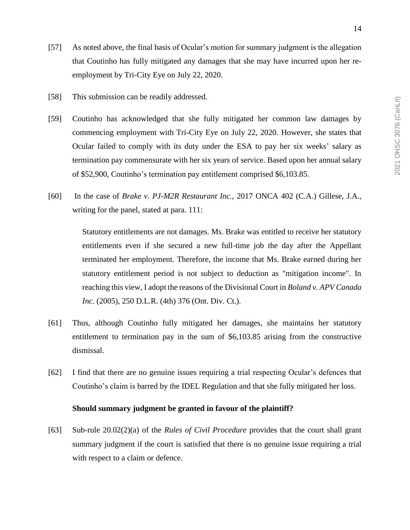- [57] As noted above, the final basis of Ocular's motion for summary judgment is the allegation that Coutinho has fully mitigated any damages that she may have incurred upon her reemployment by Tri-City Eye on July 22, 2020.
- [58] This submission can be readily addressed.
- [59] Coutinho has acknowledged that she fully mitigated her common law damages by commencing employment with Tri-City Eye on July 22, 2020. However, she states that Ocular failed to comply with its duty under the ESA to pay her six weeks' salary as termination pay commensurate with her six years of service. Based upon her annual salary of \$52,900, Coutinho's termination pay entitlement comprised \$6,103.85.
- [60] In the case of *Brake v. PJ-M2R Restaurant Inc.,* 2017 ONCA 402 (C.A.) Gillese, J.A., writing for the panel, stated at para. 111:

Statutory entitlements are not damages. Ms. Brake was entitled to receive her statutory entitlements even if she secured a new full-time job the day after the Appellant terminated her employment. Therefore, the income that Ms. Brake earned during her statutory entitlement period is not subject to deduction as "mitigation income". In reaching this view, I adopt the reasons of the Divisional Court in *Boland v. APV Canada Inc.* (2005), 250 D.L.R. (4th) 376 (Ont. Div. Ct.).

- [61] Thus, although Coutinho fully mitigated her damages, she maintains her statutory entitlement to termination pay in the sum of \$6,103.85 arising from the constructive dismissal.
- [62] I find that there are no genuine issues requiring a trial respecting Ocular's defences that Coutinho's claim is barred by the IDEL Regulation and that she fully mitigated her loss.

## **Should summary judgment be granted in favour of the plaintiff?**

[63] Sub-rule 20.02(2)(a) of the *Rules of Civil Procedure* provides that the court shall grant summary judgment if the court is satisfied that there is no genuine issue requiring a trial with respect to a claim or defence.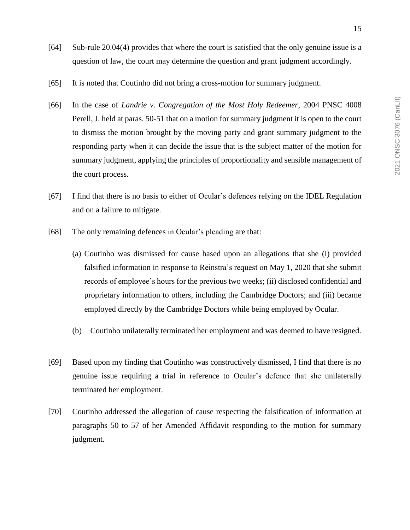- [64] Sub-rule 20.04(4) provides that where the court is satisfied that the only genuine issue is a question of law, the court may determine the question and grant judgment accordingly.
- [65] It is noted that Coutinho did not bring a cross-motion for summary judgment.
- [66] In the case of *Landrie v. Congregation of the Most Holy Redeemer*, 2004 PNSC 4008 Perell, J. held at paras. 50-51 that on a motion for summary judgment it is open to the court to dismiss the motion brought by the moving party and grant summary judgment to the responding party when it can decide the issue that is the subject matter of the motion for summary judgment, applying the principles of proportionality and sensible management of the court process.
- [67] I find that there is no basis to either of Ocular's defences relying on the IDEL Regulation and on a failure to mitigate.
- [68] The only remaining defences in Ocular's pleading are that:
	- (a) Coutinho was dismissed for cause based upon an allegations that she (i) provided falsified information in response to Reinstra's request on May 1, 2020 that she submit records of employee's hours for the previous two weeks; (ii) disclosed confidential and proprietary information to others, including the Cambridge Doctors; and (iii) became employed directly by the Cambridge Doctors while being employed by Ocular.
	- (b) Coutinho unilaterally terminated her employment and was deemed to have resigned.
- [69] Based upon my finding that Coutinho was constructively dismissed, I find that there is no genuine issue requiring a trial in reference to Ocular's defence that she unilaterally terminated her employment.
- [70] Coutinho addressed the allegation of cause respecting the falsification of information at paragraphs 50 to 57 of her Amended Affidavit responding to the motion for summary judgment.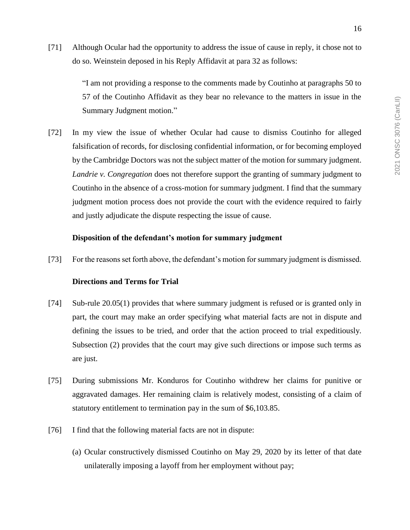[71] Although Ocular had the opportunity to address the issue of cause in reply, it chose not to do so. Weinstein deposed in his Reply Affidavit at para 32 as follows:

> "I am not providing a response to the comments made by Coutinho at paragraphs 50 to 57 of the Coutinho Affidavit as they bear no relevance to the matters in issue in the Summary Judgment motion."

[72] In my view the issue of whether Ocular had cause to dismiss Coutinho for alleged falsification of records, for disclosing confidential information, or for becoming employed by the Cambridge Doctors was not the subject matter of the motion for summary judgment. *Landrie v. Congregation* does not therefore support the granting of summary judgment to Coutinho in the absence of a cross-motion for summary judgment. I find that the summary judgment motion process does not provide the court with the evidence required to fairly and justly adjudicate the dispute respecting the issue of cause.

## **Disposition of the defendant's motion for summary judgment**

[73] For the reasons set forth above, the defendant's motion for summary judgment is dismissed.

### **Directions and Terms for Trial**

- [74] Sub-rule 20.05(1) provides that where summary judgment is refused or is granted only in part, the court may make an order specifying what material facts are not in dispute and defining the issues to be tried, and order that the action proceed to trial expeditiously. Subsection (2) provides that the court may give such directions or impose such terms as are just.
- [75] During submissions Mr. Konduros for Coutinho withdrew her claims for punitive or aggravated damages. Her remaining claim is relatively modest, consisting of a claim of statutory entitlement to termination pay in the sum of \$6,103.85.
- [76] I find that the following material facts are not in dispute:
	- (a) Ocular constructively dismissed Coutinho on May 29, 2020 by its letter of that date unilaterally imposing a layoff from her employment without pay;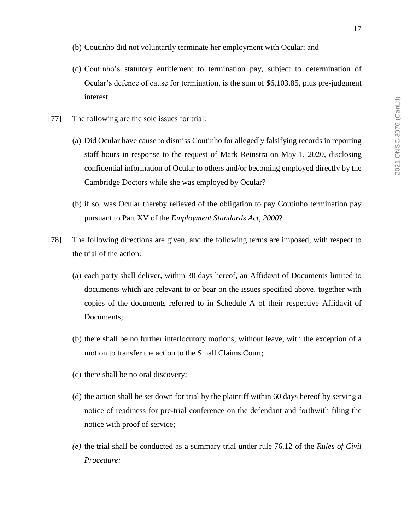- (b) Coutinho did not voluntarily terminate her employment with Ocular; and
- (c) Coutinho's statutory entitlement to termination pay, subject to determination of Ocular's defence of cause for termination, is the sum of \$6,103.85, plus pre-judgment interest.
- [77] The following are the sole issues for trial:
	- (a) Did Ocular have cause to dismiss Coutinho for allegedly falsifying records in reporting staff hours in response to the request of Mark Reinstra on May 1, 2020, disclosing confidential information of Ocular to others and/or becoming employed directly by the Cambridge Doctors while she was employed by Ocular?
	- (b) if so, was Ocular thereby relieved of the obligation to pay Coutinho termination pay pursuant to Part XV of the *Employment Standards Act, 2000*?
- [78] The following directions are given, and the following terms are imposed, with respect to the trial of the action:
	- (a) each party shall deliver, within 30 days hereof, an Affidavit of Documents limited to documents which are relevant to or bear on the issues specified above, together with copies of the documents referred to in Schedule A of their respective Affidavit of Documents;
	- (b) there shall be no further interlocutory motions, without leave, with the exception of a motion to transfer the action to the Small Claims Court;
	- (c) there shall be no oral discovery;
	- (d) the action shall be set down for trial by the plaintiff within 60 days hereof by serving a notice of readiness for pre-trial conference on the defendant and forthwith filing the notice with proof of service;
	- *(e)* the trial shall be conducted as a summary trial under rule 76.12 of the *Rules of Civil Procedure:*